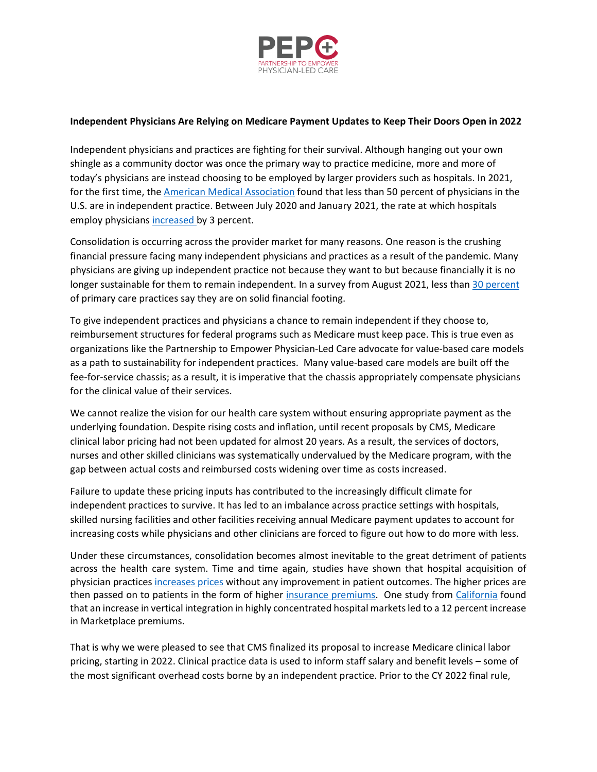

## **Independent Physicians Are Relying on Medicare Payment Updates to Keep Their Doors Open in 2022**

Independent physicians and practices are fighting for their survival. Although hanging out your own shingle as a community doctor was once the primary way to practice medicine, more and more of today's physicians are instead choosing to be employed by larger providers such as hospitals. In 2021, for the first time, the [American Medical Association](https://www.ama-assn.org/press-center/press-releases/ama-analysis-shows-most-physicians-work-outside-private-practice) found that less than 50 percent of physicians in the U.S. are in independent practice. Between July 2020 and January 2021, the rate at which hospitals employ physicians [increased](https://www.milbank.org/quarterly/opinions/consolidation-of-hospitals-during-the-covid-19-pandemic-government-bailouts-and-private-equity/) by 3 percent.

Consolidation is occurring across the provider market for many reasons. One reason is the crushing financial pressure facing many independent physicians and practices as a result of the pandemic. Many physicians are giving up independent practice not because they want to but because financially it is no longer sustainable for them to remain independent. In a survey from August 2021, less tha[n 30 percent](https://static1.squarespace.com/static/5d7ff8184cf0e01e4566cb02/t/615653643c3097648325ce4c/1633047398171/C19_Series_30_National_Executive_Summary.pdf) of primary care practices say they are on solid financial footing.

To give independent practices and physicians a chance to remain independent if they choose to, reimbursement structures for federal programs such as Medicare must keep pace. This is true even as organizations like the Partnership to Empower Physician-Led Care advocate for value-based care models as a path to sustainability for independent practices. Many value-based care models are built off the fee-for-service chassis; as a result, it is imperative that the chassis appropriately compensate physicians for the clinical value of their services.

We cannot realize the vision for our health care system without ensuring appropriate payment as the underlying foundation. Despite rising costs and inflation, until recent proposals by CMS, Medicare clinical labor pricing had not been updated for almost 20 years. As a result, the services of doctors, nurses and other skilled clinicians was systematically undervalued by the Medicare program, with the gap between actual costs and reimbursed costs widening over time as costs increased.

Failure to update these pricing inputs has contributed to the increasingly difficult climate for independent practices to survive. It has led to an imbalance across practice settings with hospitals, skilled nursing facilities and other facilities receiving annual Medicare payment updates to account for increasing costs while physicians and other clinicians are forced to figure out how to do more with less.

Under these circumstances, consolidation becomes almost inevitable to the great detriment of patients across the health care system. Time and time again, studies have shown that hospital acquisition of physician practice[s increases prices](https://www.medpac.gov/wp-content/uploads/import_data/scrape_files/docs/default-source/reports/mar20_medpac_ch15_sec.pdf) without any improvement in patient outcomes. The higher prices are then passed on to patients in the form of higher [insurance premiums.](https://www.healthaffairs.org/doi/full/10.1377/hlthaff.2018.0472) One study from [California](https://www.healthaffairs.org/doi/full/10.1377/hlthaff.2018.0472) found that an increase in vertical integration in highly concentrated hospital markets led to a 12 percent increase in Marketplace premiums.

That is why we were pleased to see that CMS finalized its proposal to increase Medicare clinical labor pricing, starting in 2022. Clinical practice data is used to inform staff salary and benefit levels – some of the most significant overhead costs borne by an independent practice. Prior to the CY 2022 final rule,